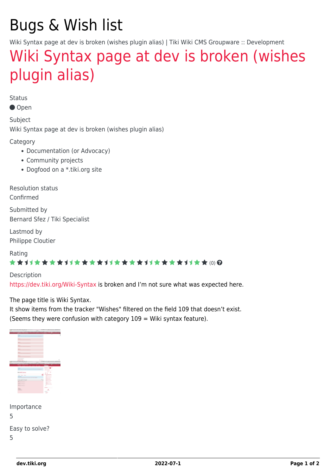## Bugs & Wish list

Wiki Syntax page at dev is broken (wishes plugin alias) | Tiki Wiki CMS Groupware :: Development

## [Wiki Syntax page at dev is broken \(wishes](https://dev.tiki.org/item6718-Wiki-Syntax-page-at-dev-is-broken-wishes-plugin-alias) [plugin alias\)](https://dev.tiki.org/item6718-Wiki-Syntax-page-at-dev-is-broken-wishes-plugin-alias)

Status

Open

Subject Wiki Syntax page at dev is broken (wishes plugin alias)

Category

- Documentation (or Advocacy)
- Community projects
- Dogfood on a \*.tiki.org site

Resolution status Confirmed

Submitted by Bernard Sfez / Tiki Specialist

Lastmod by Philippe Cloutier

Rating

#### \*\*\*\*\*\*\*\*\*\*\*\*\*\*\*\*\*\*\*\*\*\*\*\*\*\*\*\*\*\*

**Description** <https://dev.tiki.org/Wiki-Syntax>is broken and I'm not sure what was expected here.

The page title is Wiki Syntax.

It show items from the tracker "Wishes" filtered on the field 109 that doesn't exist. (Seems they were confusion with category  $109 =$  Wiki syntax feature).

|                | <br>×                         |                           |   |
|----------------|-------------------------------|---------------------------|---|
|                |                               |                           |   |
|                | $\frac{1}{2}$<br>-            |                           |   |
|                |                               |                           |   |
|                | $\frac{1}{2}$<br>--           |                           |   |
|                |                               |                           |   |
|                | $-$                           |                           |   |
|                | --<br>the company's company's |                           |   |
|                | -<br>=                        |                           |   |
|                |                               |                           |   |
|                |                               |                           |   |
|                | ---                           |                           |   |
|                |                               |                           |   |
|                | --                            |                           |   |
|                | <b>STATISTICS</b>             |                           |   |
|                |                               | .                         | ٠ |
| <b>COLLEGE</b> | 1.1.1                         | ,,,,,,<br>---<br>-        |   |
|                |                               |                           |   |
|                | v                             |                           |   |
|                |                               |                           |   |
|                |                               |                           | × |
|                | $\sim$                        | <b>STATISTICS</b>         |   |
|                | ÷                             | ----                      |   |
|                |                               | $\frac{1}{2}$             |   |
|                | <b>Calv who keeper</b>        | $\frac{1}{2}$<br>٠        |   |
|                | Sec. Jan. Jan.                | <b>Tourist</b>            |   |
|                | <b>STATES COMPANY</b><br>---- | -35-440<br><b>Service</b> |   |
|                |                               | <b>Colorado</b>           |   |
|                | <b>MARTIN</b>                 | <b>Charles Company</b>    |   |
|                | <b>Manager</b>                | -                         |   |
|                | -<br><b>The Fact</b>          | $-10-10$                  |   |
|                | $\overline{a}$                | ganti (n. 15              |   |
|                |                               | <b>COLLEGE</b>            |   |
|                | <b>House</b>                  | <b>STATE CONTROL</b>      |   |
|                | -                             | of.                       |   |
|                |                               | <b>SALE</b>               |   |
|                |                               | <b>SIMP</b>               |   |
|                |                               |                           |   |
|                |                               |                           |   |

| Importance     |
|----------------|
| 5              |
| Easy to solve? |
| 5              |